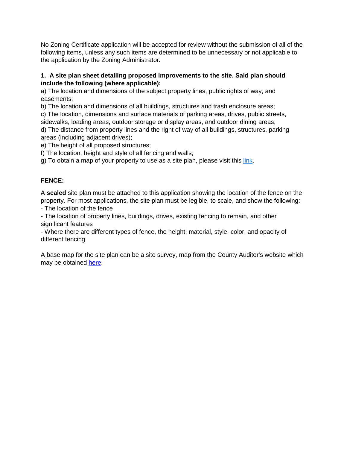No Zoning Certificate application will be accepted for review without the submission of all of the following items, unless any such items are determined to be unnecessary or not applicable to the application by the Zoning Administrator*.*

## **1. A site plan sheet detailing proposed improvements to the site. Said plan should include the following (where applicable):**

a) The location and dimensions of the subject property lines, public rights of way, and easements;

b) The location and dimensions of all buildings, structures and trash enclosure areas;

c) The location, dimensions and surface materials of parking areas, drives, public streets, sidewalks, loading areas, outdoor storage or display areas, and outdoor dining areas; d) The distance from property lines and the right of way of all buildings, structures, parking areas (including adjacent drives);

e) The height of all proposed structures;

f) The location, height and style of all fencing and walls;

g) To obtain a map of your property to use as a site plan, please visit this [link.](http://cagisonline.hamilton-co.org/cagisonline/index.html)

## **FENCE:**

A **scaled** site plan must be attached to this application showing the location of the fence on the property. For most applications, the site plan must be legible, to scale, and show the following:

- The location of the fence

- The location of property lines, buildings, drives, existing fencing to remain, and other significant features

- Where there are different types of fence, the height, material, style, color, and opacity of different fencing

A base map for the site plan can be a site survey, map from the County Auditor's website which may be obtained [here.](http://cagisonline.hamilton-co.org/cagisonline/index.html)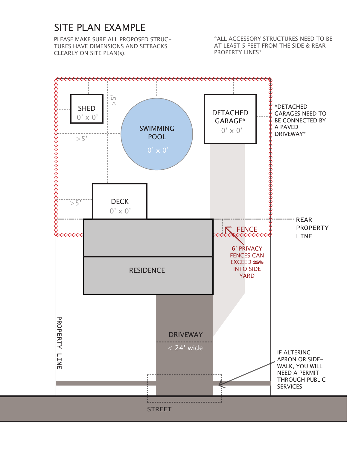## SITE PLAN EXAMPLE

PLEASE MAKE SURE ALL PROPOSED STRUC-TURES HAVE DIMENSIONS AND SETBACKS CLEARLY ON SITE PLAN(s).

\*ALL ACCESSORY STRUCTURES NEED TO BE AT LEAST 5 FEET FROM THE SIDE & REAR PROPERTY LINES\*